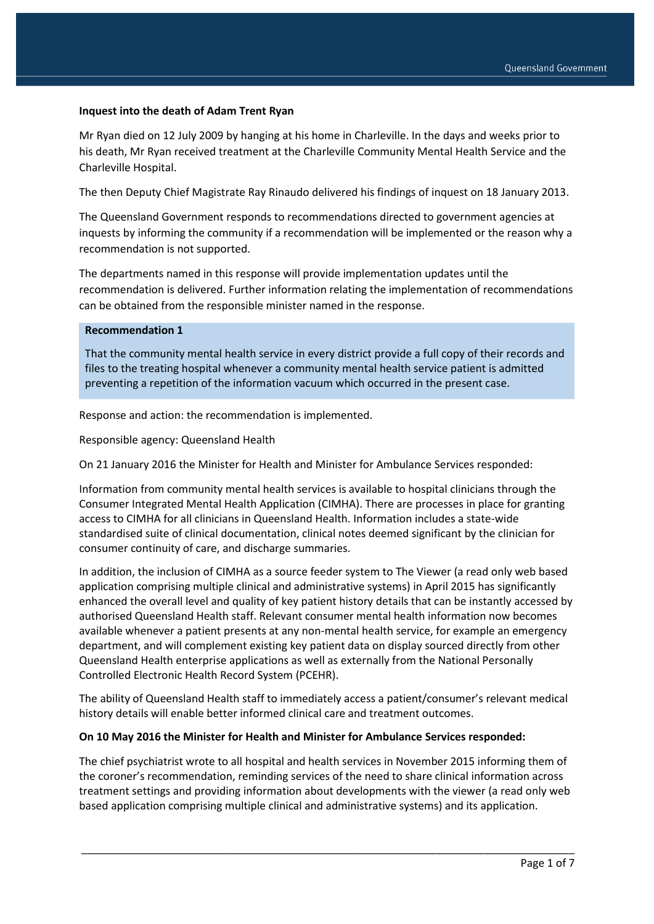### **Inquest into the death of Adam Trent Ryan**

Mr Ryan died on 12 July 2009 by hanging at his home in Charleville. In the days and weeks prior to his death, Mr Ryan received treatment at the Charleville Community Mental Health Service and the Charleville Hospital.

The then Deputy Chief Magistrate Ray Rinaudo delivered his findings of inquest on 18 January 2013.

The Queensland Government responds to recommendations directed to government agencies at inquests by informing the community if a recommendation will be implemented or the reason why a recommendation is not supported.

The departments named in this response will provide implementation updates until the recommendation is delivered. Further information relating the implementation of recommendations can be obtained from the responsible minister named in the response.

### **Recommendation 1**

That the community mental health service in every district provide a full copy of their records and files to the treating hospital whenever a community mental health service patient is admitted preventing a repetition of the information vacuum which occurred in the present case.

Response and action: the recommendation is implemented.

Responsible agency: Queensland Health

On 21 January 2016 the Minister for Health and Minister for Ambulance Services responded:

Information from community mental health services is available to hospital clinicians through the Consumer Integrated Mental Health Application (CIMHA). There are processes in place for granting access to CIMHA for all clinicians in Queensland Health. Information includes a state-wide standardised suite of clinical documentation, clinical notes deemed significant by the clinician for consumer continuity of care, and discharge summaries.

In addition, the inclusion of CIMHA as a source feeder system to The Viewer (a read only web based application comprising multiple clinical and administrative systems) in April 2015 has significantly enhanced the overall level and quality of key patient history details that can be instantly accessed by authorised Queensland Health staff. Relevant consumer mental health information now becomes available whenever a patient presents at any non-mental health service, for example an emergency department, and will complement existing key patient data on display sourced directly from other Queensland Health enterprise applications as well as externally from the National Personally Controlled Electronic Health Record System (PCEHR).

The ability of Queensland Health staff to immediately access a patient/consumer's relevant medical history details will enable better informed clinical care and treatment outcomes.

#### **On 10 May 2016 the Minister for Health and Minister for Ambulance Services responded:**

The chief psychiatrist wrote to all hospital and health services in November 2015 informing them of the coroner's recommendation, reminding services of the need to share clinical information across treatment settings and providing information about developments with the viewer (a read only web based application comprising multiple clinical and administrative systems) and its application.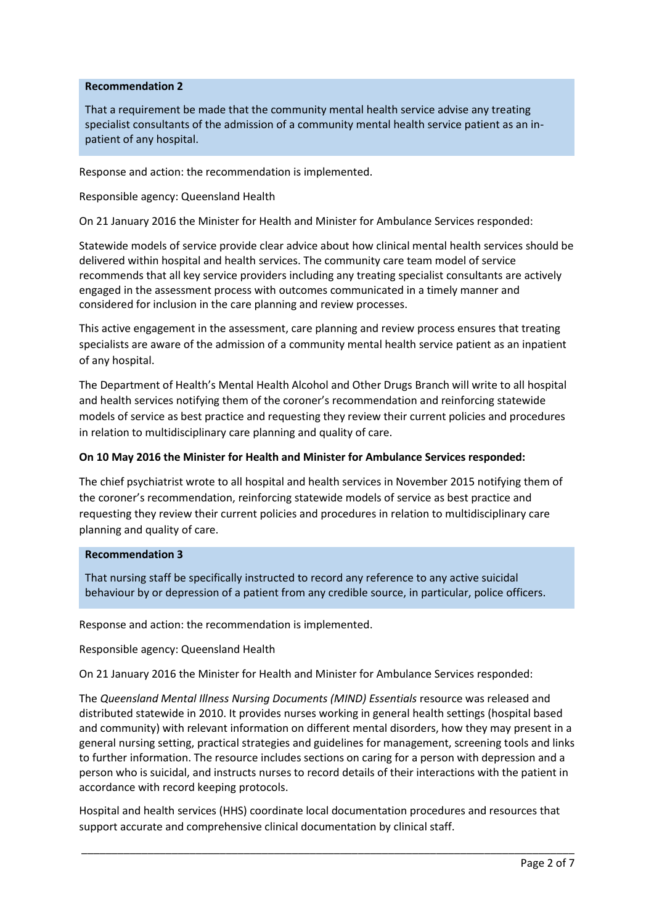### **Recommendation 2**

That a requirement be made that the community mental health service advise any treating specialist consultants of the admission of a community mental health service patient as an inpatient of any hospital.

Response and action: the recommendation is implemented.

Responsible agency: Queensland Health

On 21 January 2016 the Minister for Health and Minister for Ambulance Services responded:

Statewide models of service provide clear advice about how clinical mental health services should be delivered within hospital and health services. The community care team model of service recommends that all key service providers including any treating specialist consultants are actively engaged in the assessment process with outcomes communicated in a timely manner and considered for inclusion in the care planning and review processes.

This active engagement in the assessment, care planning and review process ensures that treating specialists are aware of the admission of a community mental health service patient as an inpatient of any hospital.

The Department of Health's Mental Health Alcohol and Other Drugs Branch will write to all hospital and health services notifying them of the coroner's recommendation and reinforcing statewide models of service as best practice and requesting they review their current policies and procedures in relation to multidisciplinary care planning and quality of care.

### **On 10 May 2016 the Minister for Health and Minister for Ambulance Services responded:**

The chief psychiatrist wrote to all hospital and health services in November 2015 notifying them of the coroner's recommendation, reinforcing statewide models of service as best practice and requesting they review their current policies and procedures in relation to multidisciplinary care planning and quality of care.

#### **Recommendation 3**

That nursing staff be specifically instructed to record any reference to any active suicidal behaviour by or depression of a patient from any credible source, in particular, police officers.

Response and action: the recommendation is implemented.

Responsible agency: Queensland Health

On 21 January 2016 the Minister for Health and Minister for Ambulance Services responded:

The *Queensland Mental Illness Nursing Documents (MIND) Essentials* resource was released and distributed statewide in 2010. It provides nurses working in general health settings (hospital based and community) with relevant information on different mental disorders, how they may present in a general nursing setting, practical strategies and guidelines for management, screening tools and links to further information. The resource includes sections on caring for a person with depression and a person who is suicidal, and instructs nurses to record details of their interactions with the patient in accordance with record keeping protocols.

Hospital and health services (HHS) coordinate local documentation procedures and resources that support accurate and comprehensive clinical documentation by clinical staff.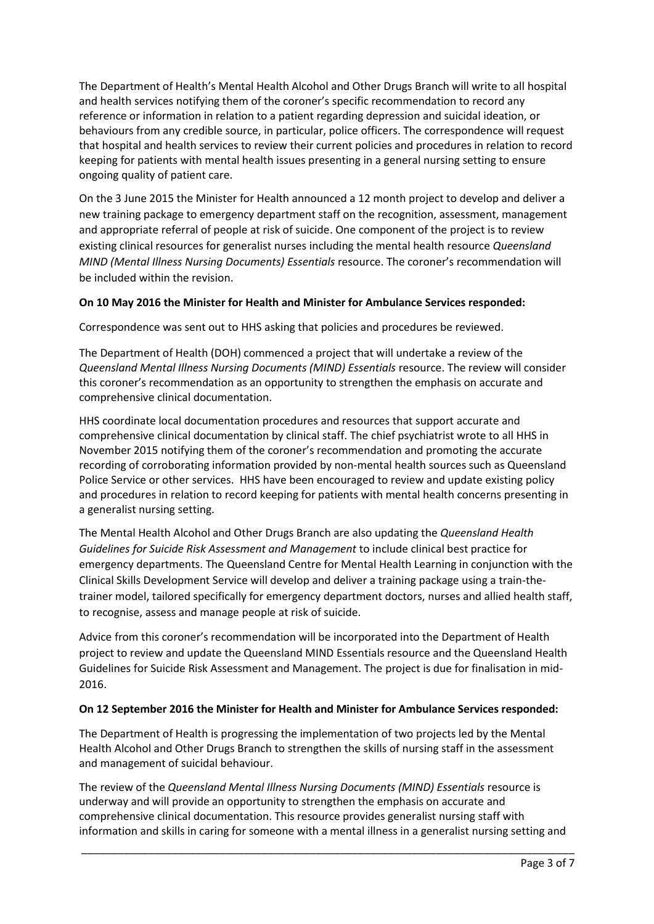The Department of Health's Mental Health Alcohol and Other Drugs Branch will write to all hospital and health services notifying them of the coroner's specific recommendation to record any reference or information in relation to a patient regarding depression and suicidal ideation, or behaviours from any credible source, in particular, police officers. The correspondence will request that hospital and health services to review their current policies and procedures in relation to record keeping for patients with mental health issues presenting in a general nursing setting to ensure ongoing quality of patient care.

On the 3 June 2015 the Minister for Health announced a 12 month project to develop and deliver a new training package to emergency department staff on the recognition, assessment, management and appropriate referral of people at risk of suicide. One component of the project is to review existing clinical resources for generalist nurses including the mental health resource *Queensland MIND (Mental Illness Nursing Documents) Essentials* resource. The coroner's recommendation will be included within the revision.

# **On 10 May 2016 the Minister for Health and Minister for Ambulance Services responded:**

Correspondence was sent out to HHS asking that policies and procedures be reviewed.

The Department of Health (DOH) commenced a project that will undertake a review of the *Queensland Mental Illness Nursing Documents (MIND) Essentials* resource. The review will consider this coroner's recommendation as an opportunity to strengthen the emphasis on accurate and comprehensive clinical documentation.

HHS coordinate local documentation procedures and resources that support accurate and comprehensive clinical documentation by clinical staff. The chief psychiatrist wrote to all HHS in November 2015 notifying them of the coroner's recommendation and promoting the accurate recording of corroborating information provided by non-mental health sources such as Queensland Police Service or other services. HHS have been encouraged to review and update existing policy and procedures in relation to record keeping for patients with mental health concerns presenting in a generalist nursing setting.

The Mental Health Alcohol and Other Drugs Branch are also updating the *Queensland Health Guidelines for Suicide Risk Assessment and Management* to include clinical best practice for emergency departments. The Queensland Centre for Mental Health Learning in conjunction with the Clinical Skills Development Service will develop and deliver a training package using a train-thetrainer model, tailored specifically for emergency department doctors, nurses and allied health staff, to recognise, assess and manage people at risk of suicide.

Advice from this coroner's recommendation will be incorporated into the Department of Health project to review and update the Queensland MIND Essentials resource and the Queensland Health Guidelines for Suicide Risk Assessment and Management. The project is due for finalisation in mid-2016.

### **On 12 September 2016 the Minister for Health and Minister for Ambulance Services responded:**

The Department of Health is progressing the implementation of two projects led by the Mental Health Alcohol and Other Drugs Branch to strengthen the skills of nursing staff in the assessment and management of suicidal behaviour.

The review of the *Queensland Mental Illness Nursing Documents (MIND) Essentials* resource is underway and will provide an opportunity to strengthen the emphasis on accurate and comprehensive clinical documentation. This resource provides generalist nursing staff with information and skills in caring for someone with a mental illness in a generalist nursing setting and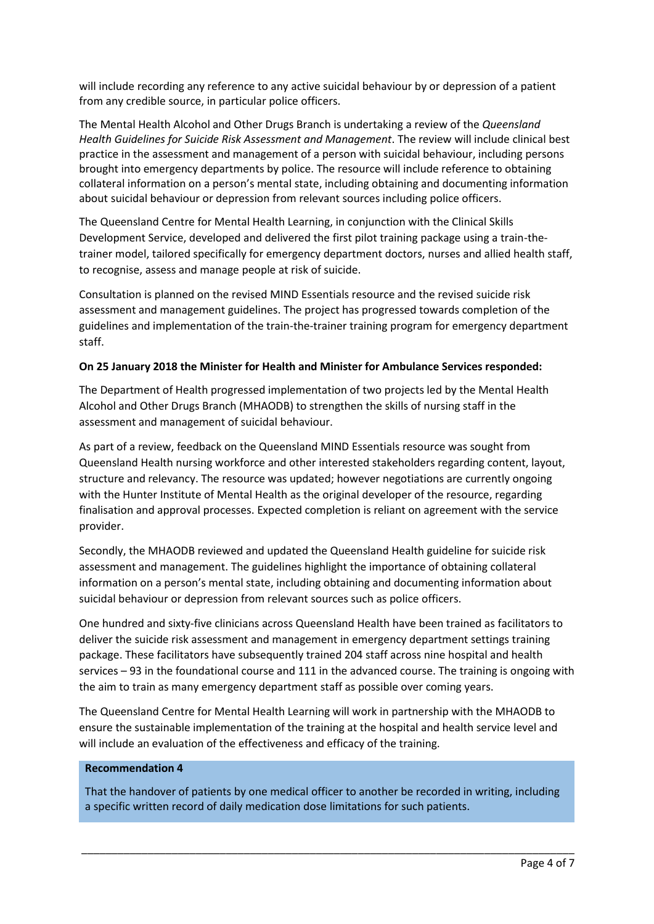will include recording any reference to any active suicidal behaviour by or depression of a patient from any credible source, in particular police officers.

The Mental Health Alcohol and Other Drugs Branch is undertaking a review of the *Queensland Health Guidelines for Suicide Risk Assessment and Management*. The review will include clinical best practice in the assessment and management of a person with suicidal behaviour, including persons brought into emergency departments by police. The resource will include reference to obtaining collateral information on a person's mental state, including obtaining and documenting information about suicidal behaviour or depression from relevant sources including police officers.

The Queensland Centre for Mental Health Learning, in conjunction with the Clinical Skills Development Service, developed and delivered the first pilot training package using a train-thetrainer model, tailored specifically for emergency department doctors, nurses and allied health staff, to recognise, assess and manage people at risk of suicide.

Consultation is planned on the revised MIND Essentials resource and the revised suicide risk assessment and management guidelines. The project has progressed towards completion of the guidelines and implementation of the train-the-trainer training program for emergency department staff.

## **On 25 January 2018 the Minister for Health and Minister for Ambulance Services responded:**

The Department of Health progressed implementation of two projects led by the Mental Health Alcohol and Other Drugs Branch (MHAODB) to strengthen the skills of nursing staff in the assessment and management of suicidal behaviour.

As part of a review, feedback on the Queensland MIND Essentials resource was sought from Queensland Health nursing workforce and other interested stakeholders regarding content, layout, structure and relevancy. The resource was updated; however negotiations are currently ongoing with the Hunter Institute of Mental Health as the original developer of the resource, regarding finalisation and approval processes. Expected completion is reliant on agreement with the service provider.

Secondly, the MHAODB reviewed and updated the Queensland Health guideline for suicide risk assessment and management. The guidelines highlight the importance of obtaining collateral information on a person's mental state, including obtaining and documenting information about suicidal behaviour or depression from relevant sources such as police officers.

One hundred and sixty-five clinicians across Queensland Health have been trained as facilitators to deliver the suicide risk assessment and management in emergency department settings training package. These facilitators have subsequently trained 204 staff across nine hospital and health services – 93 in the foundational course and 111 in the advanced course. The training is ongoing with the aim to train as many emergency department staff as possible over coming years.

The Queensland Centre for Mental Health Learning will work in partnership with the MHAODB to ensure the sustainable implementation of the training at the hospital and health service level and will include an evaluation of the effectiveness and efficacy of the training.

### **Recommendation 4**

That the handover of patients by one medical officer to another be recorded in writing, including a specific written record of daily medication dose limitations for such patients.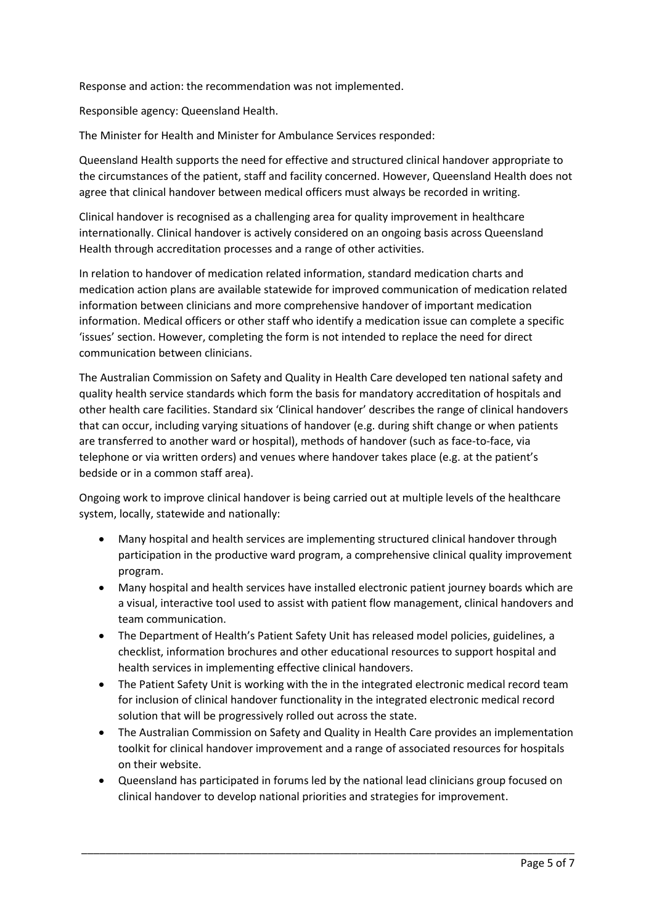Response and action: the recommendation was not implemented.

Responsible agency: Queensland Health.

The Minister for Health and Minister for Ambulance Services responded:

Queensland Health supports the need for effective and structured clinical handover appropriate to the circumstances of the patient, staff and facility concerned. However, Queensland Health does not agree that clinical handover between medical officers must always be recorded in writing.

Clinical handover is recognised as a challenging area for quality improvement in healthcare internationally. Clinical handover is actively considered on an ongoing basis across Queensland Health through accreditation processes and a range of other activities.

In relation to handover of medication related information, standard medication charts and medication action plans are available statewide for improved communication of medication related information between clinicians and more comprehensive handover of important medication information. Medical officers or other staff who identify a medication issue can complete a specific 'issues' section. However, completing the form is not intended to replace the need for direct communication between clinicians.

The Australian Commission on Safety and Quality in Health Care developed ten national safety and quality health service standards which form the basis for mandatory accreditation of hospitals and other health care facilities. Standard six 'Clinical handover' describes the range of clinical handovers that can occur, including varying situations of handover (e.g. during shift change or when patients are transferred to another ward or hospital), methods of handover (such as face-to-face, via telephone or via written orders) and venues where handover takes place (e.g. at the patient's bedside or in a common staff area).

Ongoing work to improve clinical handover is being carried out at multiple levels of the healthcare system, locally, statewide and nationally:

- Many hospital and health services are implementing structured clinical handover through participation in the productive ward program, a comprehensive clinical quality improvement program.
- Many hospital and health services have installed electronic patient journey boards which are a visual, interactive tool used to assist with patient flow management, clinical handovers and team communication.
- The Department of Health's Patient Safety Unit has released model policies, guidelines, a checklist, information brochures and other educational resources to support hospital and health services in implementing effective clinical handovers.
- The Patient Safety Unit is working with the in the integrated electronic medical record team for inclusion of clinical handover functionality in the integrated electronic medical record solution that will be progressively rolled out across the state.
- The Australian Commission on Safety and Quality in Health Care provides an implementation toolkit for clinical handover improvement and a range of associated resources for hospitals on their website.
- Queensland has participated in forums led by the national lead clinicians group focused on clinical handover to develop national priorities and strategies for improvement.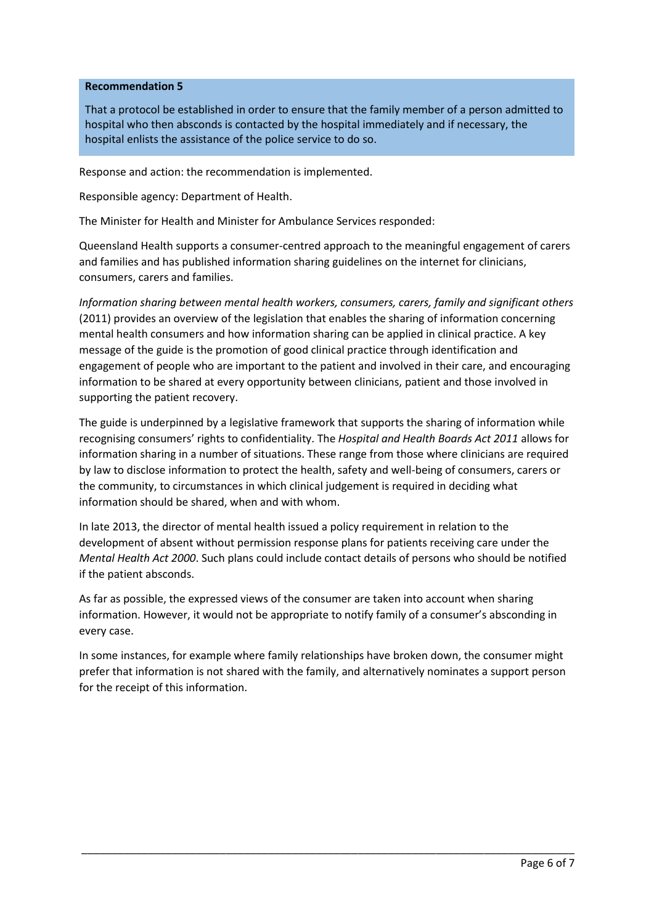### **Recommendation 5**

That a protocol be established in order to ensure that the family member of a person admitted to hospital who then absconds is contacted by the hospital immediately and if necessary, the hospital enlists the assistance of the police service to do so.

Response and action: the recommendation is implemented.

Responsible agency: Department of Health.

The Minister for Health and Minister for Ambulance Services responded:

Queensland Health supports a consumer-centred approach to the meaningful engagement of carers and families and has published information sharing guidelines on the internet for clinicians, consumers, carers and families.

*Information sharing between mental health workers, consumers, carers, family and significant others* (2011) provides an overview of the legislation that enables the sharing of information concerning mental health consumers and how information sharing can be applied in clinical practice. A key message of the guide is the promotion of good clinical practice through identification and engagement of people who are important to the patient and involved in their care, and encouraging information to be shared at every opportunity between clinicians, patient and those involved in supporting the patient recovery.

The guide is underpinned by a legislative framework that supports the sharing of information while recognising consumers' rights to confidentiality. The *Hospital and Health Boards Act 2011* allows for information sharing in a number of situations. These range from those where clinicians are required by law to disclose information to protect the health, safety and well-being of consumers, carers or the community, to circumstances in which clinical judgement is required in deciding what information should be shared, when and with whom.

In late 2013, the director of mental health issued a policy requirement in relation to the development of absent without permission response plans for patients receiving care under the *Mental Health Act 2000*. Such plans could include contact details of persons who should be notified if the patient absconds.

As far as possible, the expressed views of the consumer are taken into account when sharing information. However, it would not be appropriate to notify family of a consumer's absconding in every case.

In some instances, for example where family relationships have broken down, the consumer might prefer that information is not shared with the family, and alternatively nominates a support person for the receipt of this information.